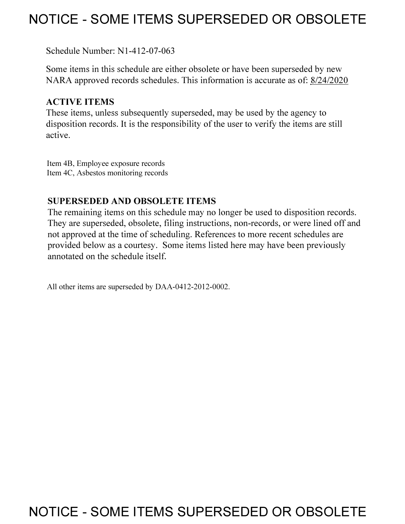## **NOTICE - SOME ITEMS SUPERSEDED OR OBSOLETE**

Schedule Number: Nl-412-07-063

Some items in this schedule are either obsolete or have been superseded by new NARA approved records schedules. This information is accurate as of: 8/24/2020

## **ACTIVE ITEMS**

These items, unless subsequently superseded, may be used by the agency to disposition records. It is the responsibility of the user to verify the items are still active.

Item 4B, Employee exposure records Item 4C, Asbestos monitoring records

## **SUPERSEDED AND OBSOLETE ITEMS**

The remaining items on this schedule may no longer be used to disposition records. They are superseded, obsolete, filing instructions, non-records, or were lined off and not approved at the time of scheduling. References to more recent schedules are provided below as a courtesy. Some items listed here may have been previously annotated on the schedule itself.

All other items are superseded by DAA-0412-2012-0002.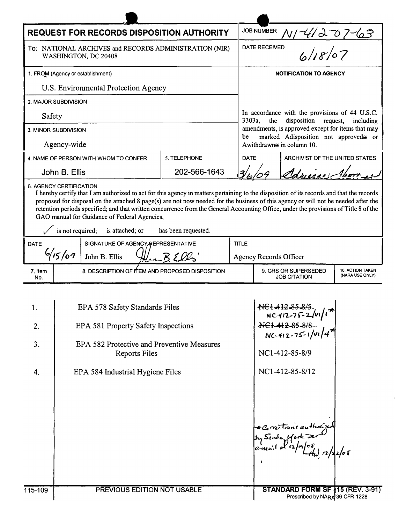|                                                                                                                                                                                                                                                                                                                                                                                                                                                                                                    | <b>REQUEST FOR RECORDS DISPOSITION AUTHORITY</b> |                                       |              |  |                                                                                                                                                                                                                                         | <b>JOB NUMBER</b>                                           |                                |  |
|----------------------------------------------------------------------------------------------------------------------------------------------------------------------------------------------------------------------------------------------------------------------------------------------------------------------------------------------------------------------------------------------------------------------------------------------------------------------------------------------------|--------------------------------------------------|---------------------------------------|--------------|--|-----------------------------------------------------------------------------------------------------------------------------------------------------------------------------------------------------------------------------------------|-------------------------------------------------------------|--------------------------------|--|
| To: NATIONAL ARCHIVES and RECORDS ADMINISTRATION (NIR)<br>WASHINGTON, DC 20408                                                                                                                                                                                                                                                                                                                                                                                                                     |                                                  |                                       |              |  | NI-41207-63<br>D 6/18/07<br><b>DATE RECEIVED</b>                                                                                                                                                                                        |                                                             |                                |  |
|                                                                                                                                                                                                                                                                                                                                                                                                                                                                                                    | 1. FROM (Agency or establishment)                |                                       |              |  |                                                                                                                                                                                                                                         | <b>NOTIFICATION TO AGENCY</b>                               |                                |  |
| U.S. Environmental Protection Agency                                                                                                                                                                                                                                                                                                                                                                                                                                                               |                                                  |                                       |              |  |                                                                                                                                                                                                                                         |                                                             |                                |  |
| 2. MAJOR SUBDIVISION                                                                                                                                                                                                                                                                                                                                                                                                                                                                               |                                                  |                                       |              |  |                                                                                                                                                                                                                                         |                                                             |                                |  |
| Safety                                                                                                                                                                                                                                                                                                                                                                                                                                                                                             |                                                  |                                       |              |  | In accordance with the provisions of 44 U.S.C.<br>3303a,<br>disposition<br>the<br>request,<br>including<br>amendments, is approved except for items that may<br>be<br>marked Adisposition not approved≅ or<br>Awithdrawn≅ in column 10. |                                                             |                                |  |
| 3. MINOR SUBDIVISION                                                                                                                                                                                                                                                                                                                                                                                                                                                                               |                                                  |                                       |              |  |                                                                                                                                                                                                                                         |                                                             |                                |  |
| Agency-wide                                                                                                                                                                                                                                                                                                                                                                                                                                                                                        |                                                  |                                       |              |  |                                                                                                                                                                                                                                         |                                                             |                                |  |
|                                                                                                                                                                                                                                                                                                                                                                                                                                                                                                    |                                                  | 4. NAME OF PERSON WITH WHOM TO CONFER | 5. TELEPHONE |  | <b>DATE</b>                                                                                                                                                                                                                             | ARCHIVIST OF THE UNITED STATES                              |                                |  |
|                                                                                                                                                                                                                                                                                                                                                                                                                                                                                                    | John B. Ellis                                    |                                       | 202-566-1643 |  |                                                                                                                                                                                                                                         | Adriana                                                     |                                |  |
| 6. AGENCY CERTIFICATION<br>I hereby certify that I am authorized to act for this agency in matters pertaining to the disposition of its records and that the records<br>proposed for disposal on the attached 8 page(s) are not now needed for the business of this agency or will not be needed after the<br>retention periods specified; and that written concurrence from the General Accounting Office, under the provisions of Title 8 of the<br>GAO manual for Guidance of Federal Agencies, |                                                  |                                       |              |  |                                                                                                                                                                                                                                         |                                                             |                                |  |
| is not required;<br>is attached; or<br>has been requested.                                                                                                                                                                                                                                                                                                                                                                                                                                         |                                                  |                                       |              |  |                                                                                                                                                                                                                                         |                                                             |                                |  |
| DATE                                                                                                                                                                                                                                                                                                                                                                                                                                                                                               | SIGNATURE OF AGENCY REPRESENTATIVE               |                                       |              |  | <b>TITLE</b>                                                                                                                                                                                                                            |                                                             |                                |  |
|                                                                                                                                                                                                                                                                                                                                                                                                                                                                                                    | 6/15/07<br>John B. Ellis                         |                                       |              |  | <b>Agency Records Officer</b>                                                                                                                                                                                                           |                                                             |                                |  |
| 7. Item<br>No.                                                                                                                                                                                                                                                                                                                                                                                                                                                                                     | 8. DESCRIPTION OF ITEM AND PROPOSED DISPOSITION  |                                       |              |  | 9. GRS OR SUPERSEDED<br><b>10. ACTION TAKEN</b><br>(NARA USE ONLY)<br><b>JOB CITATION</b>                                                                                                                                               |                                                             |                                |  |
|                                                                                                                                                                                                                                                                                                                                                                                                                                                                                                    |                                                  |                                       |              |  |                                                                                                                                                                                                                                         |                                                             |                                |  |
| 1.                                                                                                                                                                                                                                                                                                                                                                                                                                                                                                 | EPA 578 Safety Standards Files                   |                                       |              |  | $NC1-412-83-813$<br>NC-412-75-2/VI/I                                                                                                                                                                                                    |                                                             |                                |  |
| 2.                                                                                                                                                                                                                                                                                                                                                                                                                                                                                                 | EPA 581 Property Safety Inspections              |                                       |              |  | <del>NCI 412 85 8/8</del>                                                                                                                                                                                                               |                                                             |                                |  |
| 3.                                                                                                                                                                                                                                                                                                                                                                                                                                                                                                 | EPA 582 Protective and Preventive Measures       |                                       |              |  | $NC-412-75-1/4$                                                                                                                                                                                                                         |                                                             |                                |  |
|                                                                                                                                                                                                                                                                                                                                                                                                                                                                                                    | Reports Files                                    |                                       |              |  | NC1-412-85-8/9                                                                                                                                                                                                                          |                                                             |                                |  |
| 4.                                                                                                                                                                                                                                                                                                                                                                                                                                                                                                 | EPA 584 Industrial Hygiene Files                 |                                       |              |  | NC1-412-85-8/12                                                                                                                                                                                                                         |                                                             |                                |  |
|                                                                                                                                                                                                                                                                                                                                                                                                                                                                                                    |                                                  |                                       |              |  |                                                                                                                                                                                                                                         | * Corrections authorize<br>STANDARD FORM SF 115 (REV. 3-91) |                                |  |
| 115-109                                                                                                                                                                                                                                                                                                                                                                                                                                                                                            | PREVIOUS EDITION NOT USABLE                      |                                       |              |  |                                                                                                                                                                                                                                         |                                                             | Prescribed by NARA 36 CFR 1228 |  |

 $\tilde{\epsilon}$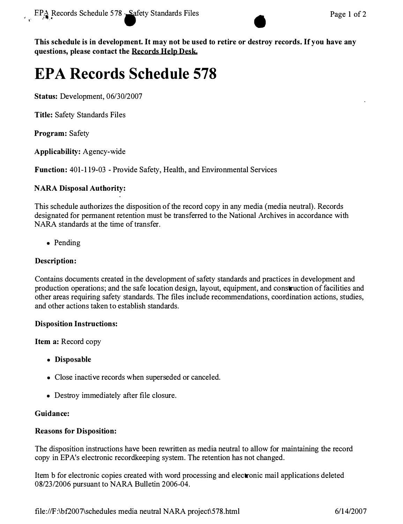

**This schedule is in development. It may not be used to retire or destroy records. If you have any questions, please contact the Records Hdp Desk.** 

# **EPA Records Schedule 578**

**Status: Development, 06/30/2007** 

**Title: Safety Standards Files** 

**Program: Safety** 

**Applicability: Agency-wide** 

**Function: 401-119-03 - Provide Safety, Health, and Environmental Services** 

### **NARA Disposal Authority:**

**This schedule authorizes the disposition of the record copy in any media (media neutral). Records designated for permanent retention must be transferred to the National Archives in accordance with NARA standards at the time of transfer.** 

**• Pending** 

### **Description:**

**Contains documents created in the development of safety standards and practices in development and production operations; and the safe location design, layout, equipment, and construction of facilities and other areas requiring safety standards. The files include recommendations, coordination actions, studies, and other actions taken to establish standards.** 

### **Disposition Instructions:**

**Item a: Record copy** 

- **Disposable**
- **Close inactive records when superseded or canceled.**
- **Destroy immediately after file closure.**

### **Guidance:**

### **Reasons for Disposition:**

**The disposition instructions have been rewritten as media neutral to allow for maintaining the record**  copy in EPA's electronic recordkeeping system. The retention has not changed.

**Item b for electronic copies created with word processing and electronic mail applications deleted 08/23/2006 pursuant to NARA Bulletin 2006-04.**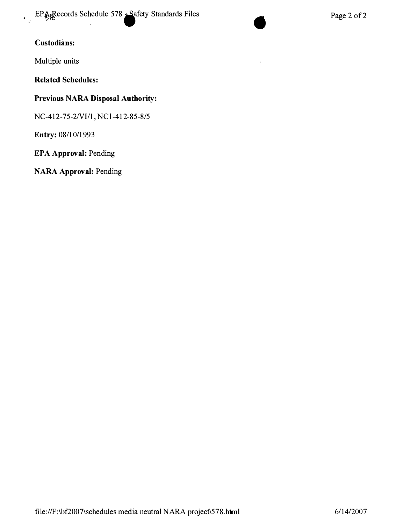**EPA Records Schedule 578 • Safety Standards Files • Page 2 of 2** 

 $\mathbf{r}$ 

## **Custodians:**

**Multiple units** 

**Related Schedules:** 

### **Previous NARA Disposal Authority:**

**NC-412-75-2Nl/1, NCl-412-85-8/5** 

**Entry: 08/10/1993** 

**EPA Approval: Pending**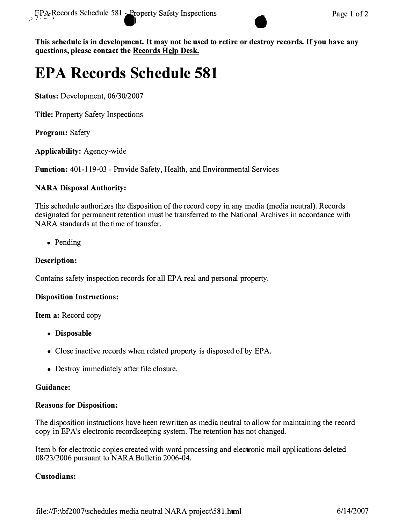

**This schedule is in development. It may not be used to retire or destroy records. If you have any questions, please contact the Records Hdp Desk.** 

## **EPA Records Schedule 581**

**Status: Development, 06/30/2007** 

**Title: Property Safety Inspections** 

**Program: Safety** 

**Applicability: Agency-wide** 

**Function: 401-119-03 - Provide Safety, Health, and Environmental Services** 

### **NARA Disposal Authority:**

**This schedule authorizes the disposition of the record copy in any media (media neutral). Records designated for permanent retention must be transferred to the National Archives in accordance with NARA standards at the time of transfer.** 

**• Pending** 

### **Description:**

**Contains safety inspection records for all EPA real and personal property.** 

### **Disposition Instructions:**

**Item a: Record copy** 

- **Disposable**
- **Close inactive records when related property is disposed of by EPA.**
- **Destroy immediately after file closure.**

### **Guidance:**

### **Reasons for Disposition:**

**The disposition instructions have been rewritten as media neutral to allow for maintaining the record**  copy in EPA's electronic recordkeeping system. The retention has not changed.

**Item b for electronic copies created with word processing and electronic mail applications deleted 08/23/2006 pursuant to NARA Bulletin 2006-04.** 

### **Custodians:**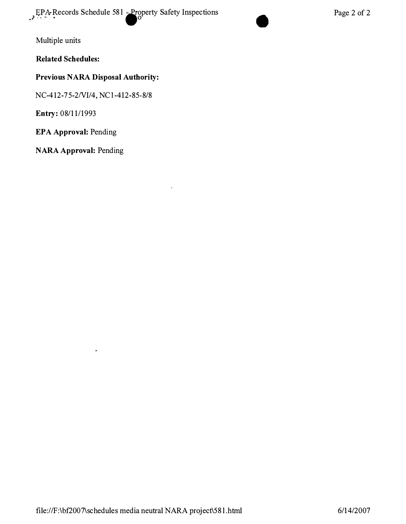$Pase 2 of 2.$ <br>Page 2 of 2

Multiple units

**Related Schedules:** 

## **Previous NARA Disposal Authority:**

NC-4 12 -75-2 NI/4, NCl-4 12 -85-8/8

**Entry:** 08/11/1993

**EPA Approval:** Pending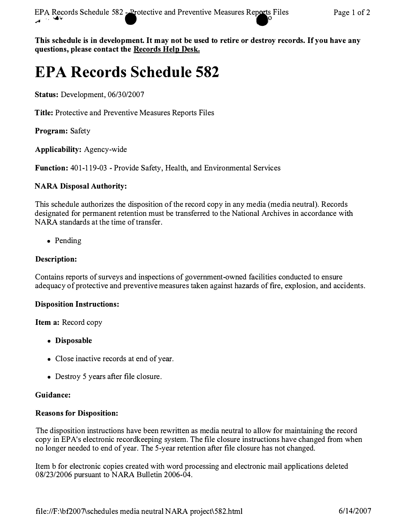**This schedule is in development. It may not be used to retire or destroy records. If you have any**  questions, please contact the Records Help Desk.

## **EPA Records Schedule 582**

**Status:** Development, 06/30/2007

**Title:** Protective and Preventive Measures Reports Files

**Program:** Safety

**Applicability:** Agency-wide

**Function:** 401-119-03 - Provide Safety, Health, and Environmental Services

### **NARA Disposal Authority:**

This schedule authorizes the disposition of the record copy in any media (media neutral). Records designated for permanent retention must be transferred to the National Archives in accordance with NARA standards at the time of transfer.

• Pending

### **Description:**

Contains reports of surveys and inspections of government-owned facilities conducted to ensure adequacy of protective and preventive measures taken against hazards of fire, explosion, and accidents.

### **Disposition Instructions:**

**Item a:** Record copy

- **Disposable**
- Close inactive records at end of year.
- Destroy 5 years after file closure.

### **Guidance:**

### **Reasons for Disposition:**

The disposition instructions have been rewritten as media neutral to allow for maintaining the record copy in EPA's electronic recordkeeping system. The file closure instructions have changed from when no longer needed to end of year. The 5-year retention after file closure has not changed.

Item b for electronic copies created with word processing and electronic mail applications deleted 08/23/2006 pursuant to NARA Bulletin 2006-04.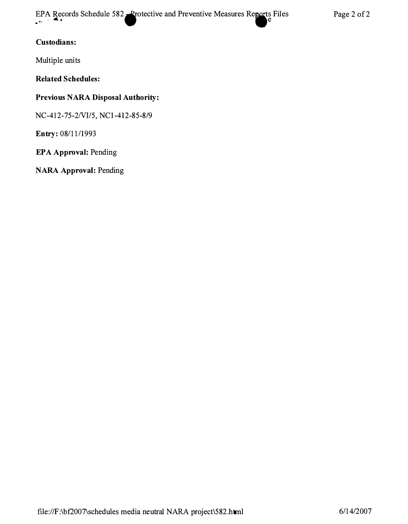EPA Records Schedule 582 .. Protective and Preventive Measures Reports Files Page 2 of 2

### **Custodians:**

**Multiple units** 

**Related Schedules:** 

### **Previous NARA Disposal Authority:**

**NC-412-75-2NI/5, NCl-412-85-8/9** 

**Entry: 08/11/1993** 

**EPA Approval: Pending**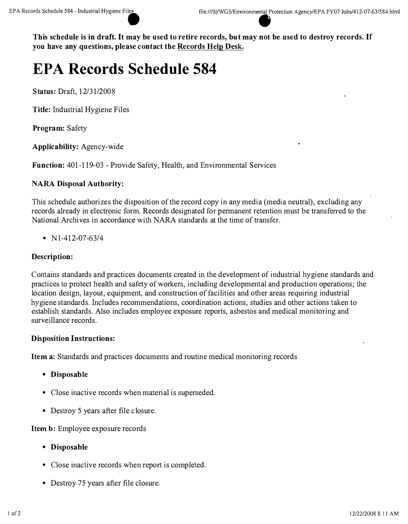**This schedule is in draft. It may be used to retire records, but may not be used to destroy records. If you have any questions, please contact the Records Help Desk.** 

## **EPA Records Schedule 584**

**Status:** Draft, 12/3 1/2008

**Title:** Industrial Hygiene Files

**Program:** Safety

**Applicability:** Agency-wide

**Function:** 401-119-03 - Provide Safety, Health, and Environmental Services

### **NARA Disposal Authority:**

This schedule authorizes the disposition of the record copy in any media (media neutral), excluding any records already in electronic form. Records designated for permanent retention must be transferred to the National Archives in accordance with NARA standards at the time of transfer.

•  $N1-412-07-63/4$ 

### **Description:**

Contains standards and practices documents created in the development of industrial hygiene standards and practices to protect health and safety of workers, including developmental and production operations; the location design, layout, equipment, and construction of facilities and other areas requiring industrial hygiene standards. Includes recommendations, coordination actions, studies and other actions taken to establish standards. Also includes employee exposure reports, asbestos and medical monitoring and surveillance records.

### **Disposition Instructions:**

**Item a:** Standards and practices documents and routine medical monitoring records

- **Disposable**
- Close inactive records when material is superseded.
- Destroy 5 years after file closure.

**Item** b: Employee exposure records

- **Disposable**
- Close inactive records when report is completed.
- Destroy 75 years after file closure.